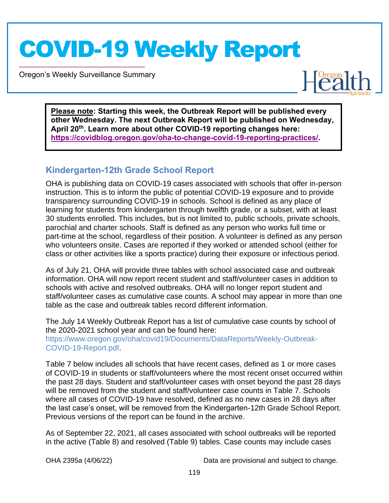Oregon's Weekly Surveillance Summary

Novel Coronavirus (COVID-19)



**Please note: Starting this week, the Outbreak Report will be published every other Wednesday. The next Outbreak Report will be published on Wednesday, April 20th. Learn more about other COVID-19 reporting changes here: https://covidblog.oregon.gov/oha-to-change-covid-19-reporting-practices/.** 

#### **Kindergarten-12th Grade School Report**

OHA is publishing data on COVID-19 cases associated with schools that offer in-person instruction. This is to inform the public of potential COVID-19 exposure and to provide transparency surrounding COVID-19 in schools. School is defined as any place of learning for students from kindergarten through twelfth grade, or a subset, with at least 30 students enrolled. This includes, but is not limited to, public schools, private schools, parochial and charter schools. Staff is defined as any person who works full time or part-time at the school, regardless of their position. A volunteer is defined as any person who volunteers onsite. Cases are reported if they worked or attended school (either for class or other activities like a sports practice) during their exposure or infectious period.

As of July 21, OHA will provide three tables with school associated case and outbreak information. OHA will now report recent student and staff/volunteer cases in addition to schools with active and resolved outbreaks. OHA will no longer report student and staff/volunteer cases as cumulative case counts. A school may appear in more than one table as the case and outbreak tables record different information.

The July 14 Weekly Outbreak Report has a list of cumulative case counts by school of the 2020-2021 school year and can be found here: https://www.oregon.gov/oha/covid19/Documents/DataReports/Weekly-Outbreak-COVID-19-Report.pdf.

Table 7 below includes all schools that have recent cases, defined as 1 or more cases of COVID-19 in students or staff/volunteers where the most recent onset occurred within the past 28 days. Student and staff/volunteer cases with onset beyond the past 28 days will be removed from the student and staff/volunteer case counts in Table 7. Schools where all cases of COVID-19 have resolved, defined as no new cases in 28 days after the last case's onset, will be removed from the Kindergarten-12th Grade School Report. Previous versions of the report can be found in the archive.

As of September 22, 2021, all cases associated with school outbreaks will be reported in the active (Table 8) and resolved (Table 9) tables. Case counts may include cases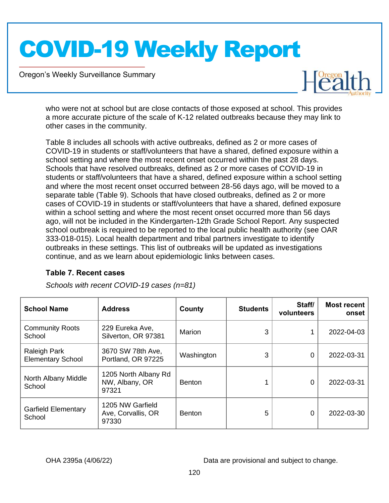Oregon's Weekly Surveillance Summary

Novel Coronavirus (COVID-19)



who were not at school but are close contacts of those exposed at school. This provides a more accurate picture of the scale of K-12 related outbreaks because they may link to other cases in the community.

Table 8 includes all schools with active outbreaks, defined as 2 or more cases of COVID-19 in students or staff/volunteers that have a shared, defined exposure within a school setting and where the most recent onset occurred within the past 28 days. Schools that have resolved outbreaks, defined as 2 or more cases of COVID-19 in students or staff/volunteers that have a shared, defined exposure within a school setting and where the most recent onset occurred between 28-56 days ago, will be moved to a separate table (Table 9). Schools that have closed outbreaks, defined as 2 or more cases of COVID-19 in students or staff/volunteers that have a shared, defined exposure within a school setting and where the most recent onset occurred more than 56 days ago, will not be included in the Kindergarten-12th Grade School Report. Any suspected school outbreak is required to be reported to the local public health authority (see OAR 333-018-015). Local health department and tribal partners investigate to identify outbreaks in these settings. This list of outbreaks will be updated as investigations continue, and as we learn about epidemiologic links between cases.

#### **Table 7. Recent cases**

| <b>School Name</b>                              | <b>Address</b>                                  | County        | <b>Students</b> | Staff/<br>volunteers | <b>Most recent</b><br>onset |
|-------------------------------------------------|-------------------------------------------------|---------------|-----------------|----------------------|-----------------------------|
| <b>Community Roots</b><br>School                | 229 Eureka Ave,<br>Silverton, OR 97381          | Marion        | 3               |                      | 2022-04-03                  |
| <b>Raleigh Park</b><br><b>Elementary School</b> | 3670 SW 78th Ave,<br>Portland, OR 97225         | Washington    | 3               | 0                    | 2022-03-31                  |
| North Albany Middle<br>School                   | 1205 North Albany Rd<br>NW, Albany, OR<br>97321 | <b>Benton</b> |                 | 0                    | 2022-03-31                  |
| <b>Garfield Elementary</b><br>School            | 1205 NW Garfield<br>Ave, Corvallis, OR<br>97330 | <b>Benton</b> | 5               | 0                    | 2022-03-30                  |

*Schools with recent COVID-19 cases (n=81)*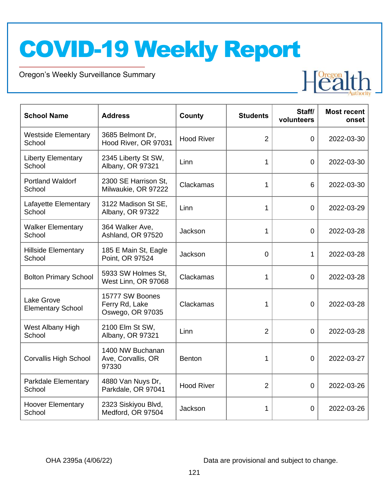Oregon's Weekly Surveillance Summary

Novel Coronavirus (COVID-19)



| <b>School Name</b>                            | <b>Address</b>                                        | County            | <b>Students</b> | Staff/<br>volunteers | <b>Most recent</b><br>onset |
|-----------------------------------------------|-------------------------------------------------------|-------------------|-----------------|----------------------|-----------------------------|
| <b>Westside Elementary</b><br>School          | 3685 Belmont Dr,<br>Hood River, OR 97031              | <b>Hood River</b> | $\overline{2}$  | $\overline{0}$       | 2022-03-30                  |
| <b>Liberty Elementary</b><br>School           | 2345 Liberty St SW,<br>Albany, OR 97321               | Linn              | 1               | $\overline{0}$       | 2022-03-30                  |
| <b>Portland Waldorf</b><br>School             | 2300 SE Harrison St,<br>Milwaukie, OR 97222           | Clackamas         | 1               | 6                    | 2022-03-30                  |
| Lafayette Elementary<br>School                | 3122 Madison St SE,<br>Albany, OR 97322               | Linn              | 1               | $\overline{0}$       | 2022-03-29                  |
| <b>Walker Elementary</b><br>School            | 364 Walker Ave,<br>Ashland, OR 97520                  | Jackson           | 1               | $\overline{0}$       | 2022-03-28                  |
| <b>Hillside Elementary</b><br>School          | 185 E Main St, Eagle<br>Point, OR 97524               | Jackson           | $\overline{0}$  | 1                    | 2022-03-28                  |
| <b>Bolton Primary School</b>                  | 5933 SW Holmes St,<br>West Linn, OR 97068             | Clackamas         | 1               | $\overline{0}$       | 2022-03-28                  |
| <b>Lake Grove</b><br><b>Elementary School</b> | 15777 SW Boones<br>Ferry Rd, Lake<br>Oswego, OR 97035 | Clackamas         | 1               | $\overline{0}$       | 2022-03-28                  |
| West Albany High<br>School                    | 2100 Elm St SW,<br>Albany, OR 97321                   | Linn              | $\overline{2}$  | $\overline{0}$       | 2022-03-28                  |
| <b>Corvallis High School</b>                  | 1400 NW Buchanan<br>Ave, Corvallis, OR<br>97330       | Benton            | 1               | $\overline{0}$       | 2022-03-27                  |
| Parkdale Elementary<br>School                 | 4880 Van Nuys Dr,<br>Parkdale, OR 97041               | <b>Hood River</b> | $\overline{2}$  | $\overline{0}$       | 2022-03-26                  |
| <b>Hoover Elementary</b><br>School            | 2323 Siskiyou Blvd,<br>Medford, OR 97504              | Jackson           | 1               | 0                    | 2022-03-26                  |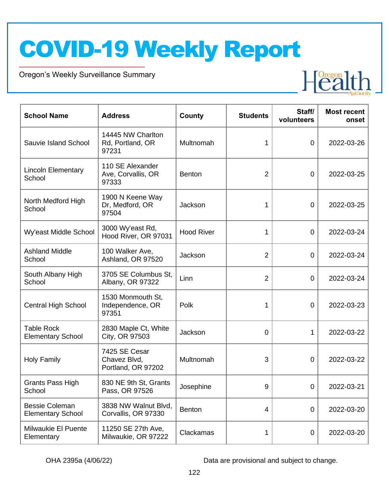Oregon's Weekly Surveillance Summary

Novel Coronavirus (COVID-19)



| <b>School Name</b>                                | <b>Address</b>                                      | <b>County</b>     | <b>Students</b>  | Staff/<br>volunteers | <b>Most recent</b><br>onset |
|---------------------------------------------------|-----------------------------------------------------|-------------------|------------------|----------------------|-----------------------------|
| Sauvie Island School                              | 14445 NW Charlton<br>Rd, Portland, OR<br>97231      | Multnomah         | 1                | $\overline{0}$       | 2022-03-26                  |
| <b>Lincoln Elementary</b><br>School               | 110 SE Alexander<br>Ave, Corvallis, OR<br>97333     | <b>Benton</b>     | $\overline{2}$   | $\mathbf 0$          | 2022-03-25                  |
| North Medford High<br>School                      | 1900 N Keene Way<br>Dr, Medford, OR<br>97504        | Jackson           | 1                | $\mathbf 0$          | 2022-03-25                  |
| Wy'east Middle School                             | 3000 Wy'east Rd,<br>Hood River, OR 97031            | <b>Hood River</b> | 1                | $\mathbf 0$          | 2022-03-24                  |
| <b>Ashland Middle</b><br>School                   | 100 Walker Ave,<br>Ashland, OR 97520                | Jackson           | $\overline{2}$   | $\mathbf 0$          | 2022-03-24                  |
| South Albany High<br>School                       | 3705 SE Columbus St.<br>Albany, OR 97322            | Linn              | $\overline{2}$   | $\overline{0}$       | 2022-03-24                  |
| <b>Central High School</b>                        | 1530 Monmouth St,<br>Independence, OR<br>97351      | Polk              | 1                | $\overline{0}$       | 2022-03-23                  |
| <b>Table Rock</b><br><b>Elementary School</b>     | 2830 Maple Ct, White<br>City, OR 97503              | Jackson           | $\overline{0}$   | 1                    | 2022-03-22                  |
| <b>Holy Family</b>                                | 7425 SE Cesar<br>Chavez Blvd,<br>Portland, OR 97202 | Multnomah         | 3                | $\overline{0}$       | 2022-03-22                  |
| <b>Grants Pass High</b><br>School                 | 830 NE 9th St, Grants<br>Pass, OR 97526             | Josephine         | $\boldsymbol{9}$ | $\mathbf 0$          | 2022-03-21                  |
| <b>Bessie Coleman</b><br><b>Elementary School</b> | 3838 NW Walnut Blvd,<br>Corvallis, OR 97330         | <b>Benton</b>     | 4                | $\overline{0}$       | 2022-03-20                  |
| Milwaukie El Puente<br>Elementary                 | 11250 SE 27th Ave,<br>Milwaukie, OR 97222           | Clackamas         | 1                | $\mathbf 0$          | 2022-03-20                  |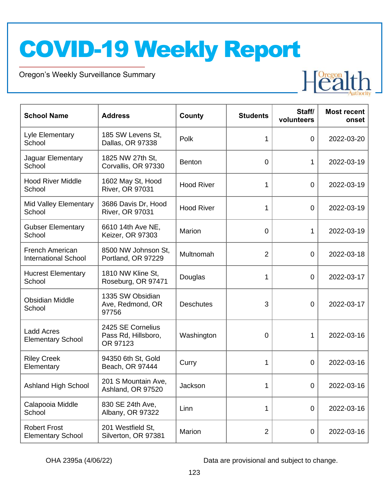Oregon's Weekly Surveillance Summary

Novel Coronavirus (COVID-19)



| <b>School Name</b>                                    | <b>Address</b>                                       | County            | <b>Students</b> | Staff/<br>volunteers | <b>Most recent</b><br>onset |
|-------------------------------------------------------|------------------------------------------------------|-------------------|-----------------|----------------------|-----------------------------|
| Lyle Elementary<br>School                             | 185 SW Levens St,<br>Dallas, OR 97338                | Polk              | 1               | $\overline{0}$       | 2022-03-20                  |
| Jaguar Elementary<br>School                           | 1825 NW 27th St,<br>Corvallis, OR 97330              | <b>Benton</b>     | $\overline{0}$  | 1                    | 2022-03-19                  |
| <b>Hood River Middle</b><br>School                    | 1602 May St, Hood<br><b>River, OR 97031</b>          | <b>Hood River</b> | 1               | $\mathbf 0$          | 2022-03-19                  |
| Mid Valley Elementary<br>School                       | 3686 Davis Dr, Hood<br><b>River, OR 97031</b>        | <b>Hood River</b> | 1               | $\mathbf 0$          | 2022-03-19                  |
| <b>Gubser Elementary</b><br>School                    | 6610 14th Ave NE,<br>Keizer, OR 97303                | Marion            | $\overline{0}$  | 1                    | 2022-03-19                  |
| <b>French American</b><br><b>International School</b> | 8500 NW Johnson St,<br>Portland, OR 97229            | Multnomah         | $\overline{2}$  | $\mathbf 0$          | 2022-03-18                  |
| <b>Hucrest Elementary</b><br>School                   | 1810 NW Kline St,<br>Roseburg, OR 97471              | Douglas           | 1               | $\mathbf 0$          | 2022-03-17                  |
| <b>Obsidian Middle</b><br>School                      | 1335 SW Obsidian<br>Ave, Redmond, OR<br>97756        | <b>Deschutes</b>  | 3               | $\mathbf 0$          | 2022-03-17                  |
| <b>Ladd Acres</b><br><b>Elementary School</b>         | 2425 SE Cornelius<br>Pass Rd, Hillsboro,<br>OR 97123 | Washington        | 0               | 1                    | 2022-03-16                  |
| <b>Riley Creek</b><br>Elementary                      | 94350 6th St, Gold<br>Beach, OR 97444                | Curry             | 1               | $\overline{0}$       | 2022-03-16                  |
| <b>Ashland High School</b>                            | 201 S Mountain Ave,<br>Ashland, OR 97520             | Jackson           | 1               | $\mathbf 0$          | 2022-03-16                  |
| Calapooia Middle<br>School                            | 830 SE 24th Ave,<br>Albany, OR 97322                 | Linn              | 1               | $\mathbf 0$          | 2022-03-16                  |
| <b>Robert Frost</b><br><b>Elementary School</b>       | 201 Westfield St,<br>Silverton, OR 97381             | Marion            | $\overline{2}$  | $\mathbf 0$          | 2022-03-16                  |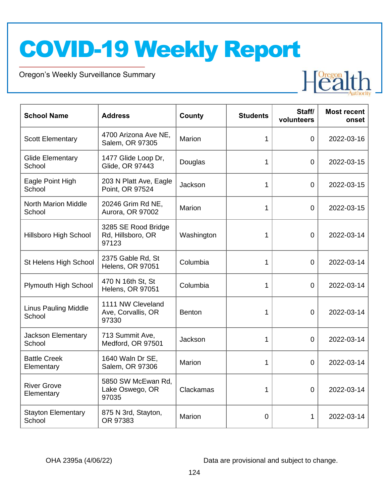Oregon's Weekly Surveillance Summary

Novel Coronavirus (COVID-19)



| <b>School Name</b>                    | <b>Address</b>                                    | County     | <b>Students</b> | Staff/<br>volunteers | <b>Most recent</b><br>onset |
|---------------------------------------|---------------------------------------------------|------------|-----------------|----------------------|-----------------------------|
| <b>Scott Elementary</b>               | 4700 Arizona Ave NE,<br>Salem, OR 97305           | Marion     | 1               | $\overline{0}$       | 2022-03-16                  |
| <b>Glide Elementary</b><br>School     | 1477 Glide Loop Dr,<br>Glide, OR 97443            | Douglas    | 1               | $\overline{0}$       | 2022-03-15                  |
| Eagle Point High<br>School            | 203 N Platt Ave, Eagle<br>Point, OR 97524         | Jackson    | 1               | 0                    | 2022-03-15                  |
| <b>North Marion Middle</b><br>School  | 20246 Grim Rd NE,<br>Aurora, OR 97002             | Marion     | 1               | $\mathbf 0$          | 2022-03-15                  |
| Hillsboro High School                 | 3285 SE Rood Bridge<br>Rd, Hillsboro, OR<br>97123 | Washington | 1               | $\overline{0}$       | 2022-03-14                  |
| St Helens High School                 | 2375 Gable Rd, St<br>Helens, OR 97051             | Columbia   | 1               | $\overline{0}$       | 2022-03-14                  |
| Plymouth High School                  | 470 N 16th St, St<br>Helens, OR 97051             | Columbia   | 1               |                      | 2022-03-14                  |
| <b>Linus Pauling Middle</b><br>School | 1111 NW Cleveland<br>Ave, Corvallis, OR<br>97330  | Benton     | 1               | $\mathbf 0$          | 2022-03-14                  |
| Jackson Elementary<br>School          | 713 Summit Ave,<br>Medford, OR 97501              | Jackson    | 1               | $\overline{0}$       | 2022-03-14                  |
| <b>Battle Creek</b><br>Elementary     | 1640 Waln Dr SE,<br>Salem, OR 97306               | Marion     | 1               | $\overline{0}$       | 2022-03-14                  |
| <b>River Grove</b><br>Elementary      | 5850 SW McEwan Rd,<br>Lake Oswego, OR<br>97035    | Clackamas  | 1               | 0                    | 2022-03-14                  |
| <b>Stayton Elementary</b><br>School   | 875 N 3rd, Stayton,<br>OR 97383                   | Marion     | $\Omega$        | 1                    | 2022-03-14                  |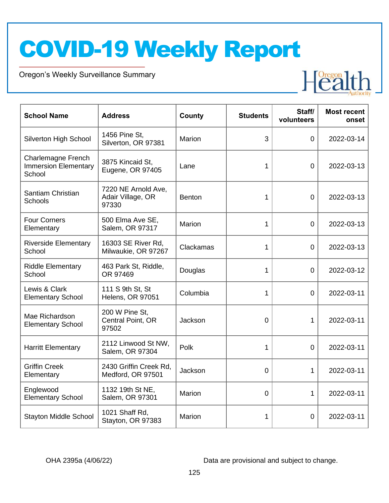Oregon's Weekly Surveillance Summary

Novel Coronavirus (COVID-19)



| <b>School Name</b>                                          | <b>Address</b>                                    | County        | <b>Students</b> | Staff/<br>volunteers | <b>Most recent</b><br>onset |
|-------------------------------------------------------------|---------------------------------------------------|---------------|-----------------|----------------------|-----------------------------|
| Silverton High School                                       | 1456 Pine St,<br>Silverton, OR 97381              | Marion        | 3               | $\overline{0}$       | 2022-03-14                  |
| Charlemagne French<br><b>Immersion Elementary</b><br>School | 3875 Kincaid St,<br>Eugene, OR 97405              | Lane          | 1               | $\overline{0}$       | 2022-03-13                  |
| Santiam Christian<br><b>Schools</b>                         | 7220 NE Arnold Ave,<br>Adair Village, OR<br>97330 | <b>Benton</b> | 1               | $\overline{0}$       | 2022-03-13                  |
| <b>Four Corners</b><br>Elementary                           | 500 Elma Ave SE,<br>Salem, OR 97317               | Marion        | 1               | $\overline{0}$       | 2022-03-13                  |
| <b>Riverside Elementary</b><br>School                       | 16303 SE River Rd,<br>Milwaukie, OR 97267         | Clackamas     | 1               | $\overline{0}$       | 2022-03-13                  |
| <b>Riddle Elementary</b><br>School                          | 463 Park St, Riddle,<br>OR 97469                  | Douglas       | 1               | $\overline{0}$       | 2022-03-12                  |
| Lewis & Clark<br><b>Elementary School</b>                   | 111 S 9th St, St<br><b>Helens, OR 97051</b>       | Columbia      | 1               | $\overline{0}$       | 2022-03-11                  |
| Mae Richardson<br><b>Elementary School</b>                  | 200 W Pine St,<br>Central Point, OR<br>97502      | Jackson       | $\overline{0}$  | $\mathbf{1}$         | 2022-03-11                  |
| <b>Harritt Elementary</b>                                   | 2112 Linwood St NW,<br>Salem, OR 97304            | Polk          | 1               | $\overline{0}$       | 2022-03-11                  |
| <b>Griffin Creek</b><br>Elementary                          | 2430 Griffin Creek Rd,<br>Medford, OR 97501       | Jackson       | $\overline{0}$  | $\mathbf{1}$         | 2022-03-11                  |
| Englewood<br><b>Elementary School</b>                       | 1132 19th St NE,<br>Salem, OR 97301               | Marion        | $\overline{0}$  | $\mathbf{1}$         | 2022-03-11                  |
| <b>Stayton Middle School</b>                                | 1021 Shaff Rd,<br>Stayton, OR 97383               | Marion        | 1               | 0                    | 2022-03-11                  |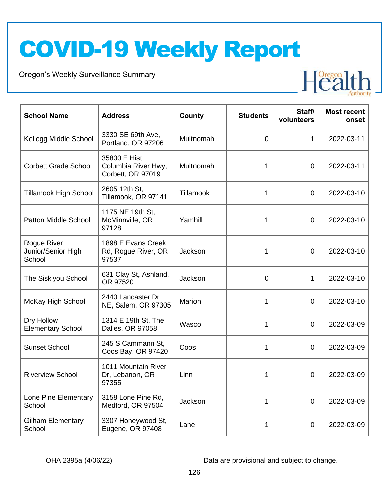Oregon's Weekly Surveillance Summary

Novel Coronavirus (COVID-19)



| <b>School Name</b>                          | <b>Address</b>                                           | County    | <b>Students</b> | Staff/<br>volunteers | <b>Most recent</b><br>onset |
|---------------------------------------------|----------------------------------------------------------|-----------|-----------------|----------------------|-----------------------------|
| Kellogg Middle School                       | 3330 SE 69th Ave,<br>Portland, OR 97206                  | Multnomah | $\mathbf 0$     | $\mathbf{1}$         | 2022-03-11                  |
| <b>Corbett Grade School</b>                 | 35800 E Hist<br>Columbia River Hwy,<br>Corbett, OR 97019 | Multnomah | 1               | $\overline{0}$       | 2022-03-11                  |
| Tillamook High School                       | 2605 12th St,<br>Tillamook, OR 97141                     | Tillamook | 1               | $\overline{0}$       | 2022-03-10                  |
| <b>Patton Middle School</b>                 | 1175 NE 19th St,<br>McMinnville, OR<br>97128             | Yamhill   | 1               | 0                    | 2022-03-10                  |
| Rogue River<br>Junior/Senior High<br>School | 1898 E Evans Creek<br>Rd, Rogue River, OR<br>97537       | Jackson   | 1               | $\overline{0}$       | 2022-03-10                  |
| The Siskiyou School                         | 631 Clay St, Ashland,<br>OR 97520                        | Jackson   | $\overline{0}$  | $\mathbf{1}$         | 2022-03-10                  |
| McKay High School                           | 2440 Lancaster Dr<br>NE, Salem, OR 97305                 | Marion    | 1               | $\overline{0}$       | 2022-03-10                  |
| Dry Hollow<br><b>Elementary School</b>      | 1314 E 19th St, The<br>Dalles, OR 97058                  | Wasco     | 1               | $\overline{0}$       | 2022-03-09                  |
| <b>Sunset School</b>                        | 245 S Cammann St,<br>Coos Bay, OR 97420                  | Coos      | 1               | 0                    | 2022-03-09                  |
| <b>Riverview School</b>                     | 1011 Mountain River<br>Dr, Lebanon, OR<br>97355          | Linn      | 1               | $\overline{0}$       | 2022-03-09                  |
| Lone Pine Elementary<br>School              | 3158 Lone Pine Rd,<br>Medford, OR 97504                  | Jackson   | 1               | $\overline{0}$       | 2022-03-09                  |
| <b>Gilham Elementary</b><br>School          | 3307 Honeywood St,<br>Eugene, OR 97408                   | Lane      | 1               | $\overline{0}$       | 2022-03-09                  |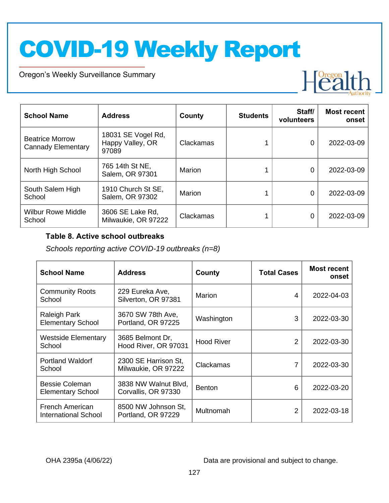Oregon's Weekly Surveillance Summary

Novel Coronavirus (COVID-19)



| <b>School Name</b>                                  | <b>Address</b>                                  | County    | <b>Students</b> | Staff/<br>volunteers | <b>Most recent</b><br>onset |
|-----------------------------------------------------|-------------------------------------------------|-----------|-----------------|----------------------|-----------------------------|
| <b>Beatrice Morrow</b><br><b>Cannady Elementary</b> | 18031 SE Vogel Rd,<br>Happy Valley, OR<br>97089 | Clackamas |                 | 0                    | 2022-03-09                  |
| North High School                                   | 765 14th St NE,<br>Salem, OR 97301              | Marion    |                 | 0                    | 2022-03-09                  |
| South Salem High<br>School                          | 1910 Church St SE,<br>Salem, OR 97302           | Marion    |                 | 0                    | 2022-03-09                  |
| <b>Wilbur Rowe Middle</b><br>School                 | 3606 SE Lake Rd,<br>Milwaukie, OR 97222         | Clackamas |                 | 0                    | 2022-03-09                  |

#### **Table 8. Active school outbreaks**

*Schools reporting active COVID-19 outbreaks (n=8)*

| <b>School Name</b>                                | <b>Address</b>                              | County            | <b>Total Cases</b> | <b>Most recent</b><br>onset |
|---------------------------------------------------|---------------------------------------------|-------------------|--------------------|-----------------------------|
| <b>Community Roots</b><br>School                  | 229 Eureka Ave,<br>Silverton, OR 97381      | Marion            | 4                  | 2022-04-03                  |
| <b>Raleigh Park</b><br><b>Elementary School</b>   | 3670 SW 78th Ave,<br>Portland, OR 97225     | Washington        | 3                  | 2022-03-30                  |
| <b>Westside Elementary</b><br>School              | 3685 Belmont Dr,<br>Hood River, OR 97031    | <b>Hood River</b> | 2                  | 2022-03-30                  |
| <b>Portland Waldorf</b><br>School                 | 2300 SE Harrison St,<br>Milwaukie, OR 97222 | Clackamas         | 7                  | 2022-03-30                  |
| <b>Bessie Coleman</b><br><b>Elementary School</b> | 3838 NW Walnut Blvd,<br>Corvallis, OR 97330 | <b>Benton</b>     | 6                  | 2022-03-20                  |
| French American<br><b>International School</b>    | 8500 NW Johnson St,<br>Portland, OR 97229   | Multnomah         | 2                  | 2022-03-18                  |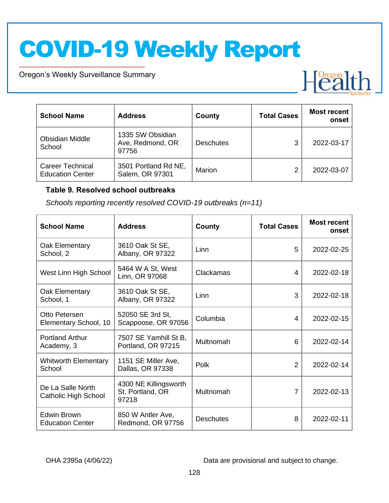Oregon's Weekly Surveillance Summary

Novel Coronavirus (COVID-19)



| <b>School Name</b>                                 | <b>Address</b>                                | <b>County</b>    | <b>Total Cases</b> | <b>Most recent</b><br>onset |
|----------------------------------------------------|-----------------------------------------------|------------------|--------------------|-----------------------------|
| <b>Obsidian Middle</b><br>School                   | 1335 SW Obsidian<br>Ave, Redmond, OR<br>97756 | <b>Deschutes</b> | 3                  | 2022-03-17                  |
| <b>Career Technical</b><br><b>Education Center</b> | 3501 Portland Rd NE,<br>Salem, OR 97301       | Marion           | ົ                  | 2022-03-07                  |

#### **Table 9. Resolved school outbreaks**

*Schools reporting recently resolved COVID-19 outbreaks (n=11)*

| <b>School Name</b>                        | <b>Address</b>                                     | County           | <b>Total Cases</b> | <b>Most recent</b><br>onset |
|-------------------------------------------|----------------------------------------------------|------------------|--------------------|-----------------------------|
| Oak Elementary<br>School, 2               | 3610 Oak St SE,<br>Albany, OR 97322                | Linn             | 5                  | 2022-02-25                  |
| West Linn High School                     | 5464 W A St, West<br>Linn, OR 97068                | Clackamas        | 4                  | 2022-02-18                  |
| Oak Elementary<br>School, 1               | 3610 Oak St SE,<br>Albany, OR 97322                | Linn             | 3                  | 2022-02-18                  |
| Otto Petersen<br>Elementary School, 10    | 52050 SE 3rd St,<br>Scappoose, OR 97056            | Columbia         | 4                  | 2022-02-15                  |
| <b>Portland Arthur</b><br>Academy, 3      | 7507 SE Yamhill St B,<br>Portland, OR 97215        | Multnomah        | 6                  | 2022-02-14                  |
| <b>Whitworth Elementary</b><br>School     | 1151 SE Miller Ave,<br>Dallas, OR 97338            | Polk             | $\overline{2}$     | 2022-02-14                  |
| De La Salle North<br>Catholic High School | 4300 NE Killingsworth<br>St, Portland, OR<br>97218 | Multnomah        | 7                  | 2022-02-13                  |
| Edwin Brown<br><b>Education Center</b>    | 850 W Antler Ave,<br>Redmond, OR 97756             | <b>Deschutes</b> | 8                  | 2022-02-11                  |